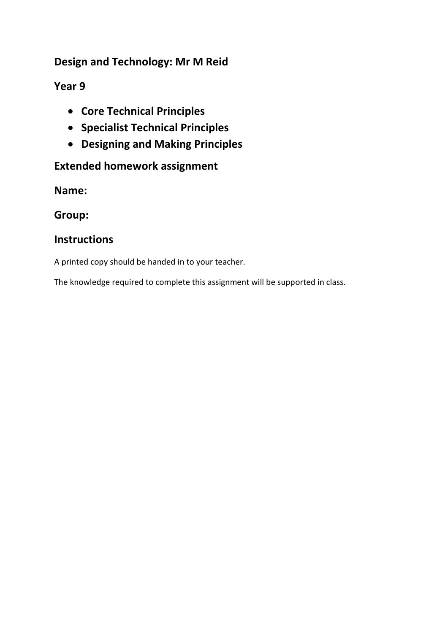## **Design and Technology: Mr M Reid**

## **Year 9**

- **Core Technical Principles**
- **Specialist Technical Principles**
- **Designing and Making Principles**

# **Extended homework assignment**

**Name:**

**Group:**

### **Instructions**

A printed copy should be handed in to your teacher.

The knowledge required to complete this assignment will be supported in class.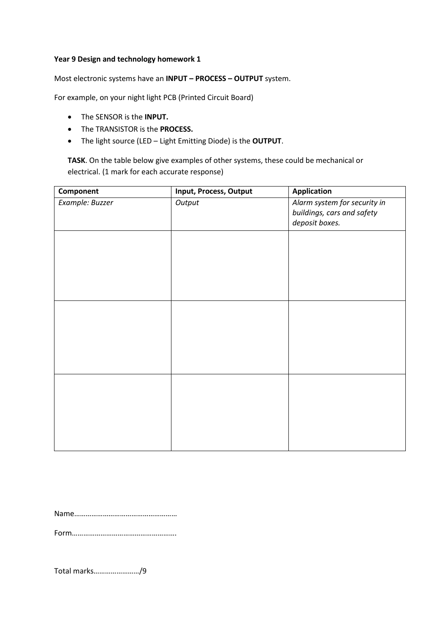#### **Year 9 Design and technology homework 1**

Most electronic systems have an **INPUT – PROCESS – OUTPUT** system.

For example, on your night light PCB (Printed Circuit Board)

- The SENSOR is the **INPUT.**
- The TRANSISTOR is the **PROCESS.**
- The light source (LED Light Emitting Diode) is the **OUTPUT**.

**TASK**. On the table below give examples of other systems, these could be mechanical or electrical. (1 mark for each accurate response)

| Component       | Input, Process, Output | <b>Application</b>                                                           |
|-----------------|------------------------|------------------------------------------------------------------------------|
| Example: Buzzer | Output                 | Alarm system for security in<br>buildings, cars and safety<br>deposit boxes. |
|                 |                        |                                                                              |
|                 |                        |                                                                              |
|                 |                        |                                                                              |
|                 |                        |                                                                              |
|                 |                        |                                                                              |
|                 |                        |                                                                              |

Name………………………………………………

Form……………………………………………….

Total marks……………………/9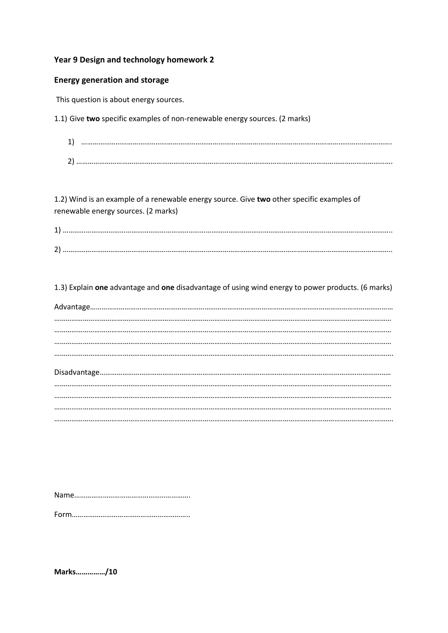### Year 9 Design and technology homework 2

### **Energy generation and storage**

This question is about energy sources.

1.1) Give two specific examples of non-renewable energy sources. (2 marks)

| ຳ |  |
|---|--|

1.2) Wind is an example of a renewable energy source. Give two other specific examples of renewable energy sources. (2 marks)

| a.     |  |
|--------|--|
| ้<br>ว |  |

1.3) Explain one advantage and one disadvantage of using wind energy to power products. (6 marks)

Marks.............../10